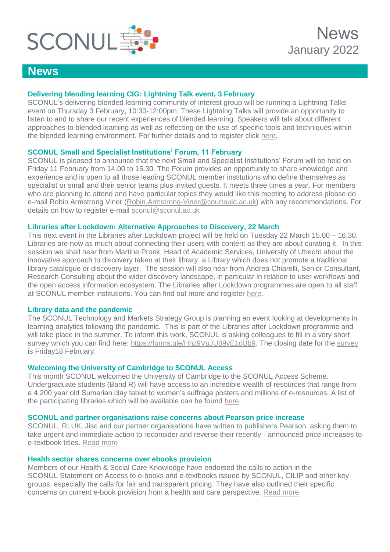

# **News**

# **Delivering blending learning CIG: Lightning Talk event, 3 February**

SCONUL's delivering blended learning community of interest group will be running a Lightning Talks event on Thursday 3 February, 10:30-12:00pm. These Lightning Talks will provide an opportunity to listen to and to share our recent experiences of blended learning. Speakers will talk about different approaches to blended learning as well as reflecting on the use of specific tools and techniques within the blended learning environment. For further details and to register click [here.](https://www.sconul.ac.uk/event/delivering-blended-learning-community-of-interest-group-lightning-talk-event)

# **SCONUL Small and Specialist Institutions' Forum, 11 February**

SCONUL is pleased to announce that the next Small and Specialist Institutions' Forum will be held on Friday 11 February from 14.00 to 15.30. The Forum provides an opportunity to share knowledge and experience and is open to all those leading SCONUL member institutions who define themselves as specialist or small and their senior teams plus invited guests. It meets three times a year. For members who are planning to attend and have particular topics they would like this meeting to address please do e-mail Robin Armstrong Viner [\(Robin.Armstrong-Viner@courtauld.ac.uk\)](mailto:Robin.Armstrong-Viner@courtauld.ac.uk) with any recommendations. For details on how to register e-mail [sconul@sconul.ac.uk](mailto:sconul@sconul.ac.uk)

# **Libraries after Lockdown: Alternative Approaches to Discovery, 22 March**

This next event in the Libraries after Lockdown project will be held on Tuesday 22 March 15.00 – 16.30. Libraries are now as much about connecting their users with content as they are about curating it. In this session we shall hear from Martine Pronk, Head of Academic Services, University of Utrecht about the innovative approach to discovery taken at their library, a Library which does not promote a traditional library catalogue or discovery layer. The session will also hear from Andrea Chiarelli, Senior Consultant, Research Consulting about the wider discovery landscape, in particular in relation to user workflows and the open access information ecosystem. The Libraries after Lockdown programmes are open to all staff at SCONUL member institutions. You can find out more and register [here.](https://www.sconul.ac.uk/page/embracing-disruption#Activity)

# **Library data and the pandemic**

The SCONUL Technology and Markets Strategy Group is planning an event looking at developments in learning analytics following the pandemic. This is part of the Libraries after Lockdown programme and will take place in the summer. To inform this work, SCONUL is asking colleagues to fill in a very short survey which you can find here: [https://forms.gle/Hhz9VuJU89yE1cUb9.](https://forms.gle/Hhz9VuJU89yE1cUb9) The closing date for the [survey](https://forms.gle/Hhz9VuJU89yE1cUb9) is Friday18 February.

# **Welcoming the University of Cambridge to SCONUL Access**

This month SCONUL welcomed the University of Cambridge to the SCONUL Access Scheme. Undergraduate students (Band R) will have access to an incredible wealth of resources that range from a 4,200 year old Sumerian clay tablet to women's suffrage posters and millions of e-resources. A list of the participating libraries which will be available can be found [here.](https://www.sconul.ac.uk/news/university-of-cambridge-joins-sconul-access)

# **SCONUL and partner organisations raise concerns about Pearson price increase**

SCONUL, RLUK, Jisc and our partner organisations have written to publishers Pearson, asking them to take urgent and immediate action to reconsider and reverse their recently - announced price increases to e-textbook titles. [Read more](https://www.sconul.ac.uk/news/sconul-and-partner-organisations-raise-concerns-about-pearson-price-increase)

# **Health sector shares concerns over ebooks provision**

Members of our Health & Social Care Knowledge have endorsed the calls to action in the SCONUL Statement on Access to e-books and e-textbooks issued by SCONUL, CILIP and other key groups, especially the calls for fair and transparent pricing. They have also outlined their specific concerns on current e-book provision from a health and care perspective. [Read more](https://www.sconul.ac.uk/news/health-sector-shares-concerns-over-ebooks-provision)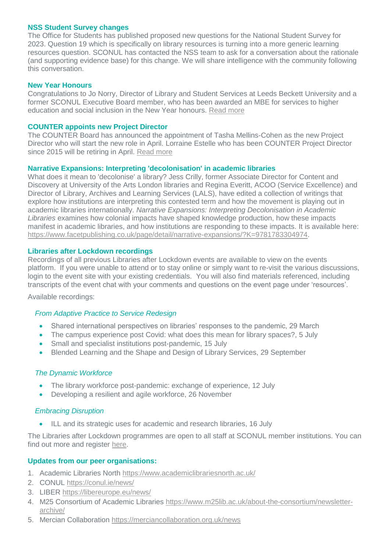# **NSS Student Survey changes**

The Office for Students has published proposed new questions for the National Student Survey for 2023. Question 19 which is specifically on library resources is turning into a more generic learning resources question. SCONUL has contacted the NSS team to ask for a conversation about the rationale (and supporting evidence base) for this change. We will share intelligence with the community following this conversation.

#### **New Year Honours**

Congratulations to Jo Norry, Director of Library and Student Services at Leeds Beckett University and a former SCONUL Executive Board member, who has been awarded an MBE for services to higher education and social inclusion in the New Year honours. [Read more](https://www.leedsbeckett.ac.uk/news/2021/12/new-year-honours-for-leeds-beckett-university-community/)

#### **COUNTER appoints new Project Director**

The COUNTER Board has announced the appointment of Tasha Mellins-Cohen as the new Project Director who will start the new role in April. Lorraine Estelle who has been COUNTER Project Director since 2015 will be retiring in April. [Read more](https://www.projectcounter.org/counter-has-appointed-tasha-mellins-cohen-as-the-new-project-director/)

# **Narrative Expansions: Interpreting 'decolonisation' in academic libraries**

What does it mean to 'decolonise' a library? Jess Crilly, former Associate Director for Content and Discovery at University of the Arts London libraries and Regina Everitt, ACOO (Service Excellence) and Director of Library, Archives and Learning Services (LALS), have edited a collection of writings that explore how institutions are interpreting this contested term and how the movement is playing out in academic libraries internationally. *Narrative Expansions: Interpreting Decolonisation in Academic Libraries* examines how colonial impacts have shaped knowledge production, how these impacts manifest in academic libraries, and how institutions are responding to these impacts. It is available here: [https://www.facetpublishing.co.uk/page/detail/narrative-expansions/?K=9781783304974.](https://protect-eu.mimecast.com/s/mGYFCMQv7IV90Fw5Cnf?domain=facetpublishing.co.uk)

#### **Libraries after Lockdown recordings**

Recordings of all previous Libraries after Lockdown events are available to view on the events platform. If you were unable to attend or to stay online or simply want to re-visit the various discussions, login to the event site with your existing credentials. You will also find materials referenced, including transcripts of the event chat with your comments and questions on the event page under 'resources'.

Available recordings:

# *From Adaptive Practice to Service Redesign*

- Shared international perspectives on libraries' responses to the pandemic, 29 March
- The campus experience post Covid: what does this mean for library spaces?, 5 July
- Small and specialist institutions post-pandemic, 15 July
- Blended Learning and the Shape and Design of Library Services, 29 September

# *The Dynamic Workforce*

- The library workforce post-pandemic: exchange of experience, 12 July
- Developing a resilient and agile workforce, 26 November

# *Embracing Disruption*

ILL and its strategic uses for academic and research libraries, 16 July

The Libraries after Lockdown programmes are open to all staff at SCONUL member institutions. You can find out more and register [here.](https://www.sconul.ac.uk/page/libraries-after-lockdown-a-virtual-collaboration)

# **Updates from our peer organisations:**

- 1. Academic Libraries North<https://www.academiclibrariesnorth.ac.uk/>
- 2. CONUL<https://conul.ie/news/>
- 3. LIBER<https://libereurope.eu/news/>
- 4. M25 Consortium of Academic Libraries [https://www.m25lib.ac.uk/about-the-consortium/newsletter](https://www.m25lib.ac.uk/about-the-consortium/newsletter-archive/)[archive/](https://www.m25lib.ac.uk/about-the-consortium/newsletter-archive/)
- 5. Mercian Collaboration<https://merciancollaboration.org.uk/news>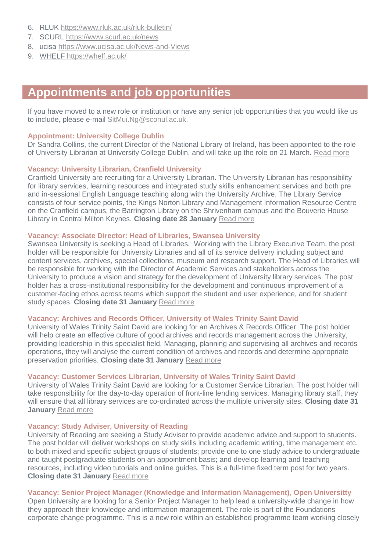- 6. RLUK<https://www.rluk.ac.uk/rluk-bulletin/>
- 7. SCURL<https://www.scurl.ac.uk/news>
- 8. ucisa<https://www.ucisa.ac.uk/News-and-Views>
- 9. WHELF <https://whelf.ac.uk/>

# **Appointments and job opportunities**

If you have moved to a new role or institution or have any senior job opportunities that you would like us to include, please e-mail [SitMui.Ng@sconul.ac.uk.](mailto:SitMui.Ng@sconul.ac.uk)

# **Appointment: University College Dublin**

Dr Sandra Collins, the current Director of the National Library of Ireland, has been appointed to the role of University Librarian at University College Dublin, and will take up the role on 21 March. [Read more](https://www.ucd.ie/newsandopinion/news/2021/december/20/ucdappointsdrsandracollinsaslibrarian/)

# **Vacancy: University Librarian, Cranfield University**

Cranfield University are recruiting for a University Librarian. The University Librarian has responsibility for library services, learning resources and integrated study skills enhancement services and both pre and in-sessional English Language teaching along with the University Archive. The Library Service consists of four service points, the Kings Norton Library and Management Information Resource Centre on the Cranfield campus, the Barrington Library on the Shrivenham campus and the Bouverie House Library in Central Milton Keynes. **Closing date 28 January** [Read more](https://microsites.harveynash.com/cranfield/)

# **Vacancy: Associate Director: Head of Libraries, Swansea University**

Swansea University is seeking a Head of Libraries. Working with the Library Executive Team, the post holder will be responsible for University Libraries and all of its service delivery including subject and content services, archives, special collections, museum and research support. The Head of Libraries will be responsible for working with the Director of Academic Services and stakeholders across the University to produce a vision and strategy for the development of University library services. The post holder has a cross-institutional responsibility for the development and continuous improvement of a customer-facing ethos across teams which support the student and user experience, and for student study spaces. **Closing date 31 January** [Read more](https://www.swansea.ac.uk/jobs-at-swansea/current-vacancies/details/?nPostingID=107458&nPostingTargetID=135312&ID=QHUFK026203F3VBQB7VLO8NXD&lg=UK&mask=suext)

# **Vacancy: Archives and Records Officer, University of Wales Trinity Saint David**

University of Wales Trinity Saint David are looking for an Archives & Records Officer. The post holder will help create an effective culture of good archives and records management across the University, providing leadership in this specialist field. Managing, planning and supervising all archives and records operations, they will analyse the current condition of archives and records and determine appropriate preservation priorities. **Closing date 31 January** [Read more](https://jobs.uwtsd.ac.uk/JobDescription/tH_Kzg23oMs)

# **Vacancy: Customer Services Librarian, University of Wales Trinity Saint David**

University of Wales Trinity Saint David are looking for a Customer Service Librarian. The post holder will take responsibility for the day-to-day operation of front-line lending services. Managing library staff, they will ensure that all library services are co-ordinated across the multiple university sites. **Closing date 31 January** [Read more](https://jobs.uwtsd.ac.uk/JobDescription/l2beK0Muwr8)

#### **Vacancy: Study Adviser, University of Reading**

University of Reading are seeking a Study Adviser to provide academic advice and support to students. The post holder will deliver workshops on study skills including academic writing, time management etc. to both mixed and specific subject groups of students; provide one to one study advice to undergraduate and taught postgraduate students on an appointment basis; and develop learning and teaching resources, including video tutorials and online guides. This is a full-time fixed term post for two years. **Closing date 31 January** [Read more](https://jobs.reading.ac.uk/displayjob.aspx?jobid=9028)

# **Vacancy: Senior Project Manager (Knowledge and Information Management), Open Universitty**

Open University are looking for a Senior Project Manager to help lead a university-wide change in how they approach their knowledge and information management. The role is part of the Foundations corporate change programme. This is a new role within an established programme team working closely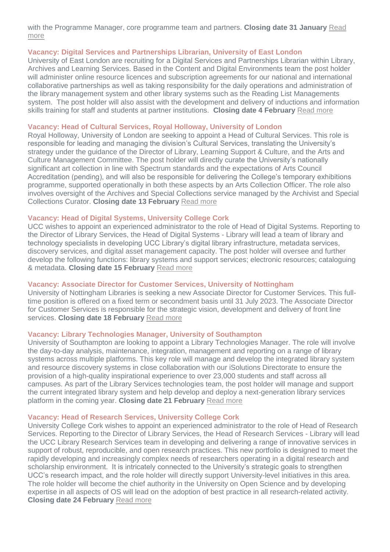with the Programme Manager, core programme team and partners. **Closing date 31 January** [Read](https://www.open.ac.uk/about/employment/vacancies/senior-project-manager-19304)  [more](https://www.open.ac.uk/about/employment/vacancies/senior-project-manager-19304)

#### **Vacancy: Digital Services and Partnerships Librarian, University of East London**

University of East London are recruiting for a Digital Services and Partnerships Librarian within Library, Archives and Learning Services. Based in the Content and Digital Environments team the post holder will administer online resource licences and subscription agreements for our national and international collaborative partnerships as well as taking responsibility for the daily operations and administration of the library management system and other library systems such as the Reading List Managements system. The post holder will also assist with the development and delivery of inductions and information skills training for staff and students at partner institutions. **Closing date 4 February** [Read more](https://jobs.uel.ac.uk/Vacancy.aspx?ref=PS007S2022)

#### **Vacancy: Head of Cultural Services, Royal Holloway, University of London**

Royal Holloway, University of London are seeking to appoint a Head of Cultural Services. This role is responsible for leading and managing the division's Cultural Services, translating the University's strategy under the guidance of the Director of Library, Learning Support & Culture, and the Arts and Culture Management Committee. The post holder will directly curate the University's nationally significant art collection in line with Spectrum standards and the expectations of Arts Council Accreditation (pending), and will also be responsible for delivering the College's temporary exhibitions programme, supported operationally in both these aspects by an Arts Collection Officer. The role also involves oversight of the Archives and Special Collections service managed by the Archivist and Special Collections Curator. **Closing date 13 February** [Read more](https://jobs.royalholloway.ac.uk/Vacancy.aspx?ref=0122-009)

#### **Vacancy: Head of Digital Systems, University College Cork**

UCC wishes to appoint an experienced administrator to the role of Head of Digital Systems. Reporting to the Director of Library Services, the Head of Digital Systems - Library will lead a team of library and technology specialists in developing UCC Library's digital library infrastructure, metadata services, discovery services, and digital asset management capacity. The post holder will oversee and further develop the following functions: library systems and support services; electronic resources; cataloguing & metadata. **Closing date 15 February** [Read more](https://my.corehr.com/pls/uccrecruit/erq_search_package.search_form?p_company=5023&p_internal_external=E)

# **Vacancy: Associate Director for Customer Services, University of Nottingham**

University of Nottingham Libraries is seeking a new Associate Director for Customer Services. This fulltime position is offered on a fixed term or secondment basis until 31 July 2023. The Associate Director for Customer Services is responsible for the strategic vision, development and delivery of front line services. **Closing date 18 February** [Read more](https://www.nottingham.ac.uk/jobs/currentvacancies/ref/LD547621)

#### **Vacancy: Library Technologies Manager, University of Southampton**

University of Southampton are looking to appoint a Library Technologies Manager. The role will involve the day-to-day analysis, maintenance, integration, management and reporting on a range of library systems across multiple platforms. This key role will manage and develop the integrated library system and resource discovery systems in close collaboration with our iSolutions Directorate to ensure the provision of a high-quality inspirational experience to over 23,000 students and staff across all campuses. As part of the Library Services technologies team, the post holder will manage and support the current integrated library system and help develop and deploy a next-generation library services platform in the coming year. **Closing date 21 February** [Read more](https://jobs.soton.ac.uk/Vacancy.aspx?ref=1450621KX-R)

#### **Vacancy: Head of Research Services, University College Cork**

University College Cork wishes to appoint an experienced administrator to the role of Head of Research Services. Reporting to the Director of Library Services, the Head of Research Services - Library will lead the UCC Library Research Services team in developing and delivering a range of innovative services in support of robust, reproducible, and open research practices. This new portfolio is designed to meet the rapidly developing and increasingly complex needs of researchers operating in a digital research and scholarship environment. It is intricately connected to the University's strategic goals to strengthen UCC's research impact, and the role holder will directly support University-level initiatives in this area. The role holder will become the chief authority in the University on Open Science and by developing expertise in all aspects of OS will lead on the adoption of best practice in all research-related activity. **Closing date 24 February** [Read more](https://my.corehr.com/pls/uccrecruit/erq_search_package.search_form?p_company=5023&p_internal_external=E)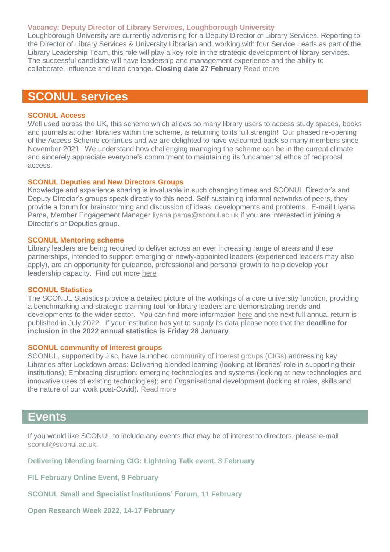#### **Vacancy: Deputy Director of Library Services, Loughborough University**

Loughborough University are currently advertising for a Deputy Director of Library Services. Reporting to the Director of Library Services & University Librarian and, working with four Service Leads as part of the Library Leadership Team, this role will play a key role in the strategic development of library services. The successful candidate will have leadership and management experience and the ability to collaborate, influence and lead change. **Closing date 27 February** [Read more](https://www.lboro.ac.uk/services/hr/jobs/)

# **SCONUL services**

#### **SCONUL Access**

Well used across the UK, this scheme which allows so many library users to access study spaces, books and journals at other libraries within the scheme, is returning to its full strength! Our phased re-opening of the Access Scheme continues and we are delighted to have welcomed back so many members since November 2021. We understand how challenging managing the scheme can be in the current climate and sincerely appreciate everyone's commitment to maintaining its fundamental ethos of reciprocal access.

#### **SCONUL Deputies and New Directors Groups**

Knowledge and experience sharing is invaluable in such changing times and SCONUL Director's and Deputy Director's groups speak directly to this need. Self-sustaining informal networks of peers, they provide a forum for brainstorming and discussion of ideas, developments and problems. E-mail Liyana Pama, Member Engagement Manager [liyana.pama@sconul.ac.uk](mailto:liyana.pama@sconul.ac.uk) if you are interested in joining a Director's or Deputies group.

#### **SCONUL Mentoring scheme**

Library leaders are being required to deliver across an ever increasing range of areas and these partnerships, intended to support emerging or newly-appointed leaders (experienced leaders may also apply), are an opportunity for guidance, professional and personal growth to help develop your leadership capacity. Find out more [here](https://www.sconul.ac.uk/page/sconul-mentoring)

#### **SCONUL Statistics**

The SCONUL Statistics provide a detailed picture of the workings of a core university function, providing a benchmarking and strategic planning tool for library leaders and demonstrating trends and developments to the wider sector. You can find more information [here](https://www.sconul.ac.uk/page/sconul-statistics) and the next full annual return is published in July 2022. If your institution has yet to supply its data please note that the **deadline for inclusion in the 2022 annual statistics is Friday 28 January**.

# **SCONUL community of interest groups**

SCONUL, supported by Jisc, have launched [community of interest groups \(CIGs\)](https://www.sconul.ac.uk/page/community-of-interest-groups) addressing key Libraries after Lockdown areas: Delivering blended learning (looking at libraries' role in supporting their institutions); Embracing disruption: emerging technologies and systems (looking at new technologies and innovative uses of existing technologies); and Organisational development (looking at roles, skills and the nature of our work post-Covid). [Read more](https://www.sconul.ac.uk/page/community-of-interest-groups)

# **Events**

If you would like SCONUL to include any events that may be of interest to directors, please e-mail [sconul@sconul.ac.uk.](mailto:sconul@sconul.ac.uk)

**[Delivering blending learning CIG: Lightning Talk event, 3 February](https://www.sconul.ac.uk/event/delivering-blended-learning-community-of-interest-group-lightning-talk-event)**

**[FIL February Online Event, 9 February](https://forumforinterlending.org.uk/filonline-february-event-weds-feb-9th-2022/)**

**[SCONUL Small and Specialist Institutions' Forum, 11 February](https://us02web.zoom.us/meeting/register/tZItd-qtqjMrGddptHJ8AQJ72DOZISaUrVUE)**

**[Open Research Week 2022, 14-17 February](https://www.liverpool.ac.uk/open-research/open-research-week-2022/)**